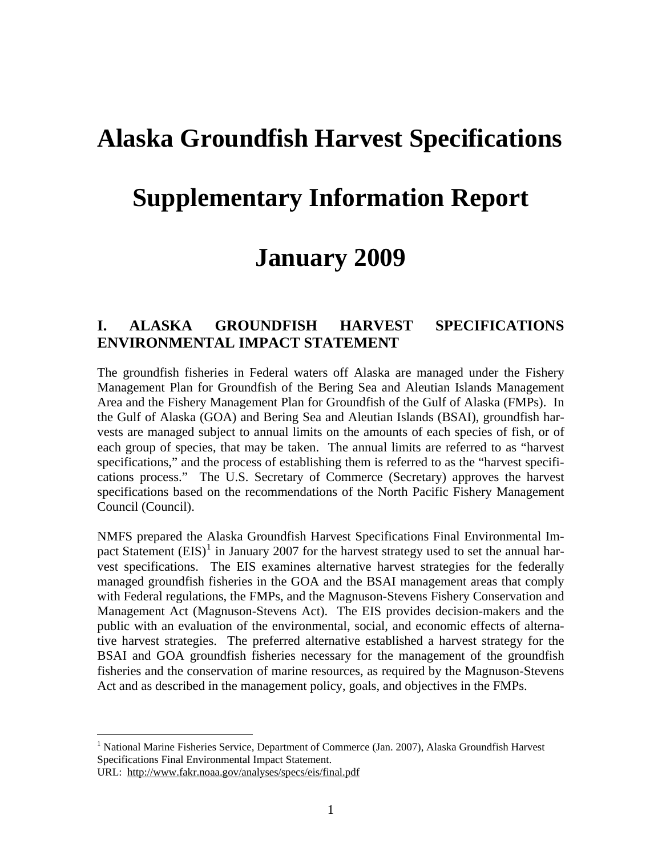## **Alaska Groundfish Harvest Specifications**

## **Supplementary Information Report**

## **January 2009**

#### **I. ALASKA GROUNDFISH HARVEST SPECIFICATIONS ENVIRONMENTAL IMPACT STATEMENT**

The groundfish fisheries in Federal waters off Alaska are managed under the Fishery Management Plan for Groundfish of the Bering Sea and Aleutian Islands Management Area and the Fishery Management Plan for Groundfish of the Gulf of Alaska (FMPs). In the Gulf of Alaska (GOA) and Bering Sea and Aleutian Islands (BSAI), groundfish harvests are managed subject to annual limits on the amounts of each species of fish, or of each group of species, that may be taken. The annual limits are referred to as "harvest specifications," and the process of establishing them is referred to as the "harvest specifications process." The U.S. Secretary of Commerce (Secretary) approves the harvest specifications based on the recommendations of the North Pacific Fishery Management Council (Council).

NMFS prepared the Alaska Groundfish Harvest Specifications Final Environmental Impact Statement  $(EIS)^1$  $(EIS)^1$  in January 2007 for the harvest strategy used to set the annual harvest specifications. The EIS examines alternative harvest strategies for the federally managed groundfish fisheries in the GOA and the BSAI management areas that comply with Federal regulations, the FMPs, and the Magnuson-Stevens Fishery Conservation and Management Act (Magnuson-Stevens Act). The EIS provides decision-makers and the public with an evaluation of the environmental, social, and economic effects of alternative harvest strategies. The preferred alternative established a harvest strategy for the BSAI and GOA groundfish fisheries necessary for the management of the groundfish fisheries and the conservation of marine resources, as required by the Magnuson-Stevens Act and as described in the management policy, goals, and objectives in the FMPs.

1

<span id="page-0-0"></span><sup>&</sup>lt;sup>1</sup> National Marine Fisheries Service, Department of Commerce (Jan. 2007), Alaska Groundfish Harvest Specifications Final Environmental Impact Statement.

URL: http://www.fakr.noaa.gov/analyses/specs/eis/final.pdf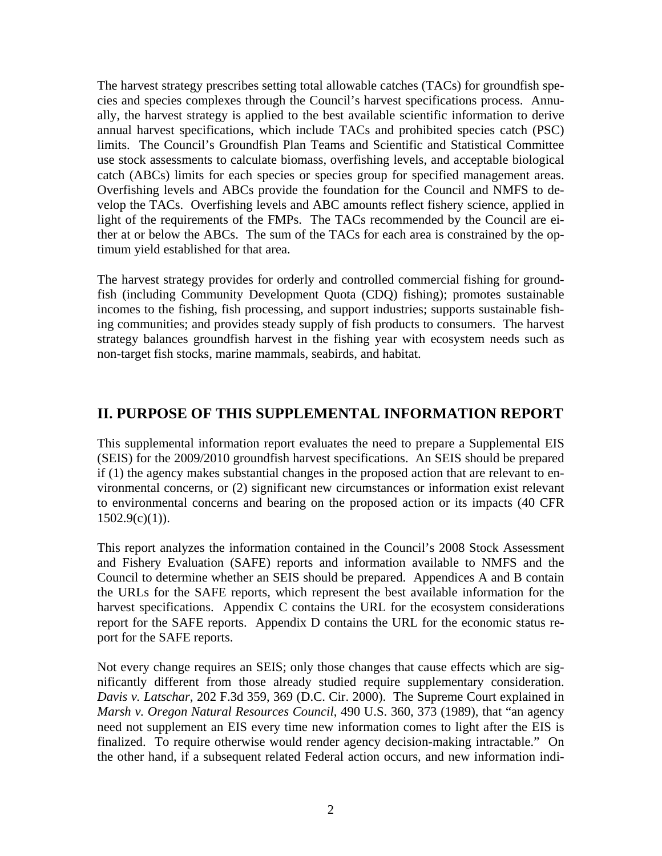The harvest strategy prescribes setting total allowable catches (TACs) for groundfish species and species complexes through the Council's harvest specifications process. Annually, the harvest strategy is applied to the best available scientific information to derive annual harvest specifications, which include TACs and prohibited species catch (PSC) limits. The Council's Groundfish Plan Teams and Scientific and Statistical Committee use stock assessments to calculate biomass, overfishing levels, and acceptable biological catch (ABCs) limits for each species or species group for specified management areas. Overfishing levels and ABCs provide the foundation for the Council and NMFS to develop the TACs. Overfishing levels and ABC amounts reflect fishery science, applied in light of the requirements of the FMPs. The TACs recommended by the Council are either at or below the ABCs. The sum of the TACs for each area is constrained by the optimum yield established for that area.

The harvest strategy provides for orderly and controlled commercial fishing for groundfish (including Community Development Quota (CDQ) fishing); promotes sustainable incomes to the fishing, fish processing, and support industries; supports sustainable fishing communities; and provides steady supply of fish products to consumers. The harvest strategy balances groundfish harvest in the fishing year with ecosystem needs such as non-target fish stocks, marine mammals, seabirds, and habitat.

### **II. PURPOSE OF THIS SUPPLEMENTAL INFORMATION REPORT**

This supplemental information report evaluates the need to prepare a Supplemental EIS (SEIS) for the 2009/2010 groundfish harvest specifications. An SEIS should be prepared if (1) the agency makes substantial changes in the proposed action that are relevant to environmental concerns, or (2) significant new circumstances or information exist relevant to environmental concerns and bearing on the proposed action or its impacts (40 CFR  $1502.9(c)(1)$ ).

This report analyzes the information contained in the Council's 2008 Stock Assessment and Fishery Evaluation (SAFE) reports and information available to NMFS and the Council to determine whether an SEIS should be prepared. Appendices A and B contain the URLs for the SAFE reports, which represent the best available information for the harvest specifications. Appendix C contains the URL for the ecosystem considerations report for the SAFE reports. Appendix D contains the URL for the economic status report for the SAFE reports.

Not every change requires an SEIS; only those changes that cause effects which are significantly different from those already studied require supplementary consideration. *Davis v. Latschar*, 202 F.3d 359, 369 (D.C. Cir. 2000). The Supreme Court explained in *Marsh v. Oregon Natural Resources Council*, 490 U.S. 360, 373 (1989), that "an agency need not supplement an EIS every time new information comes to light after the EIS is finalized. To require otherwise would render agency decision-making intractable." On the other hand, if a subsequent related Federal action occurs, and new information indi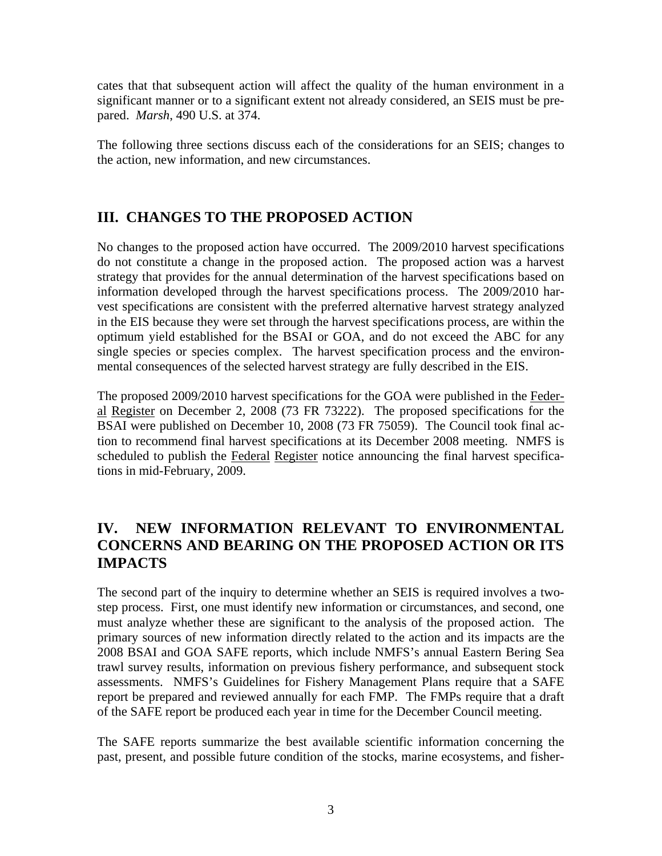cates that that subsequent action will affect the quality of the human environment in a significant manner or to a significant extent not already considered, an SEIS must be prepared. *Marsh*, 490 U.S. at 374.

The following three sections discuss each of the considerations for an SEIS; changes to the action, new information, and new circumstances.

### **III. CHANGES TO THE PROPOSED ACTION**

No changes to the proposed action have occurred. The 2009/2010 harvest specifications do not constitute a change in the proposed action. The proposed action was a harvest strategy that provides for the annual determination of the harvest specifications based on information developed through the harvest specifications process. The 2009/2010 harvest specifications are consistent with the preferred alternative harvest strategy analyzed in the EIS because they were set through the harvest specifications process, are within the optimum yield established for the BSAI or GOA, and do not exceed the ABC for any single species or species complex. The harvest specification process and the environmental consequences of the selected harvest strategy are fully described in the EIS.

The proposed 2009/2010 harvest specifications for the GOA were published in the Federal Register on December 2, 2008 (73 FR 73222). The proposed specifications for the BSAI were published on December 10, 2008 (73 FR 75059). The Council took final action to recommend final harvest specifications at its December 2008 meeting. NMFS is scheduled to publish the Federal Register notice announcing the final harvest specifications in mid-February, 2009.

### **IV. NEW INFORMATION RELEVANT TO ENVIRONMENTAL CONCERNS AND BEARING ON THE PROPOSED ACTION OR ITS IMPACTS**

The second part of the inquiry to determine whether an SEIS is required involves a twostep process. First, one must identify new information or circumstances, and second, one must analyze whether these are significant to the analysis of the proposed action. The primary sources of new information directly related to the action and its impacts are the 2008 BSAI and GOA SAFE reports, which include NMFS's annual Eastern Bering Sea trawl survey results, information on previous fishery performance, and subsequent stock assessments. NMFS's Guidelines for Fishery Management Plans require that a SAFE report be prepared and reviewed annually for each FMP. The FMPs require that a draft of the SAFE report be produced each year in time for the December Council meeting.

The SAFE reports summarize the best available scientific information concerning the past, present, and possible future condition of the stocks, marine ecosystems, and fisher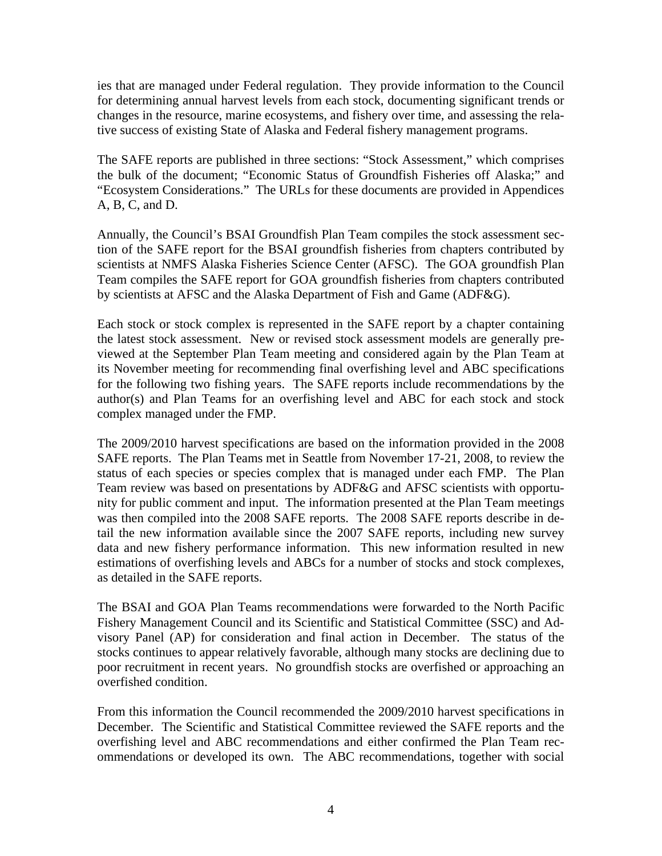ies that are managed under Federal regulation. They provide information to the Council for determining annual harvest levels from each stock, documenting significant trends or changes in the resource, marine ecosystems, and fishery over time, and assessing the relative success of existing State of Alaska and Federal fishery management programs.

The SAFE reports are published in three sections: "Stock Assessment," which comprises the bulk of the document; "Economic Status of Groundfish Fisheries off Alaska;" and "Ecosystem Considerations." The URLs for these documents are provided in Appendices A, B, C, and D.

Annually, the Council's BSAI Groundfish Plan Team compiles the stock assessment section of the SAFE report for the BSAI groundfish fisheries from chapters contributed by scientists at NMFS Alaska Fisheries Science Center (AFSC). The GOA groundfish Plan Team compiles the SAFE report for GOA groundfish fisheries from chapters contributed by scientists at AFSC and the Alaska Department of Fish and Game (ADF&G).

Each stock or stock complex is represented in the SAFE report by a chapter containing the latest stock assessment. New or revised stock assessment models are generally previewed at the September Plan Team meeting and considered again by the Plan Team at its November meeting for recommending final overfishing level and ABC specifications for the following two fishing years. The SAFE reports include recommendations by the author(s) and Plan Teams for an overfishing level and ABC for each stock and stock complex managed under the FMP.

The 2009/2010 harvest specifications are based on the information provided in the 2008 SAFE reports. The Plan Teams met in Seattle from November 17-21, 2008, to review the status of each species or species complex that is managed under each FMP. The Plan Team review was based on presentations by ADF&G and AFSC scientists with opportunity for public comment and input. The information presented at the Plan Team meetings was then compiled into the 2008 SAFE reports. The 2008 SAFE reports describe in detail the new information available since the 2007 SAFE reports, including new survey data and new fishery performance information. This new information resulted in new estimations of overfishing levels and ABCs for a number of stocks and stock complexes, as detailed in the SAFE reports.

The BSAI and GOA Plan Teams recommendations were forwarded to the North Pacific Fishery Management Council and its Scientific and Statistical Committee (SSC) and Advisory Panel (AP) for consideration and final action in December. The status of the stocks continues to appear relatively favorable, although many stocks are declining due to poor recruitment in recent years. No groundfish stocks are overfished or approaching an overfished condition.

From this information the Council recommended the 2009/2010 harvest specifications in December. The Scientific and Statistical Committee reviewed the SAFE reports and the overfishing level and ABC recommendations and either confirmed the Plan Team recommendations or developed its own. The ABC recommendations, together with social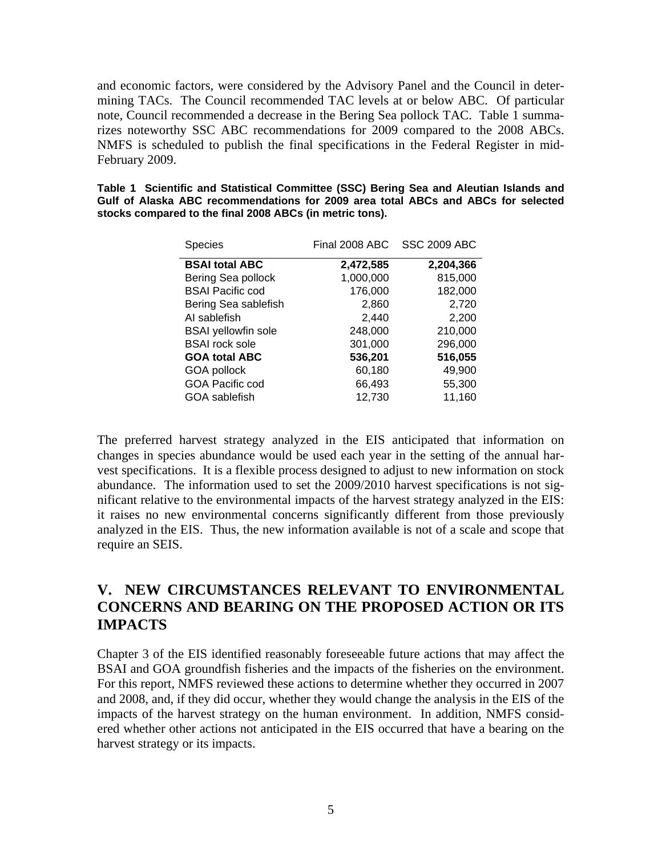and economic factors, were considered by the Advisory Panel and the Council in determining TACs. The Council recommended TAC levels at or below ABC. Of particular note, Council recommended a decrease in the Bering Sea pollock TAC. Table 1 summarizes noteworthy SSC ABC recommendations for 2009 compared to the 2008 ABCs. NMFS is scheduled to publish the final specifications in the Federal Register in mid-February 2009.

|                                                          |  | Table 1 Scientific and Statistical Committee (SSC) Bering Sea and Aleutian Islands and |  |  |  |  |  |  |  |
|----------------------------------------------------------|--|----------------------------------------------------------------------------------------|--|--|--|--|--|--|--|
|                                                          |  | Gulf of Alaska ABC recommendations for 2009 area total ABCs and ABCs for selected      |  |  |  |  |  |  |  |
| stocks compared to the final 2008 ABCs (in metric tons). |  |                                                                                        |  |  |  |  |  |  |  |

| <b>Species</b>             | Final 2008 ABC | <b>SSC 2009 ABC</b> |
|----------------------------|----------------|---------------------|
| <b>BSAI total ABC</b>      | 2,472,585      | 2,204,366           |
| Bering Sea pollock         | 1,000,000      | 815,000             |
| <b>BSAI Pacific cod</b>    | 176,000        | 182,000             |
| Bering Sea sablefish       | 2,860          | 2,720               |
| AI sablefish               | 2,440          | 2,200               |
| <b>BSAI</b> yellowfin sole | 248,000        | 210,000             |
| <b>BSAI</b> rock sole      | 301,000        | 296,000             |
| <b>GOA total ABC</b>       | 536,201        | 516,055             |
| GOA pollock                | 60,180         | 49,900              |
| <b>GOA Pacific cod</b>     | 66,493         | 55,300              |
| GOA sablefish              | 12,730         | 11,160              |

The preferred harvest strategy analyzed in the EIS anticipated that information on changes in species abundance would be used each year in the setting of the annual harvest specifications. It is a flexible process designed to adjust to new information on stock abundance. The information used to set the 2009/2010 harvest specifications is not significant relative to the environmental impacts of the harvest strategy analyzed in the EIS: it raises no new environmental concerns significantly different from those previously analyzed in the EIS. Thus, the new information available is not of a scale and scope that require an SEIS.

### **V. NEW CIRCUMSTANCES RELEVANT TO ENVIRONMENTAL CONCERNS AND BEARING ON THE PROPOSED ACTION OR ITS IMPACTS**

Chapter 3 of the EIS identified reasonably foreseeable future actions that may affect the BSAI and GOA groundfish fisheries and the impacts of the fisheries on the environment. For this report, NMFS reviewed these actions to determine whether they occurred in 2007 and 2008, and, if they did occur, whether they would change the analysis in the EIS of the impacts of the harvest strategy on the human environment. In addition, NMFS considered whether other actions not anticipated in the EIS occurred that have a bearing on the harvest strategy or its impacts.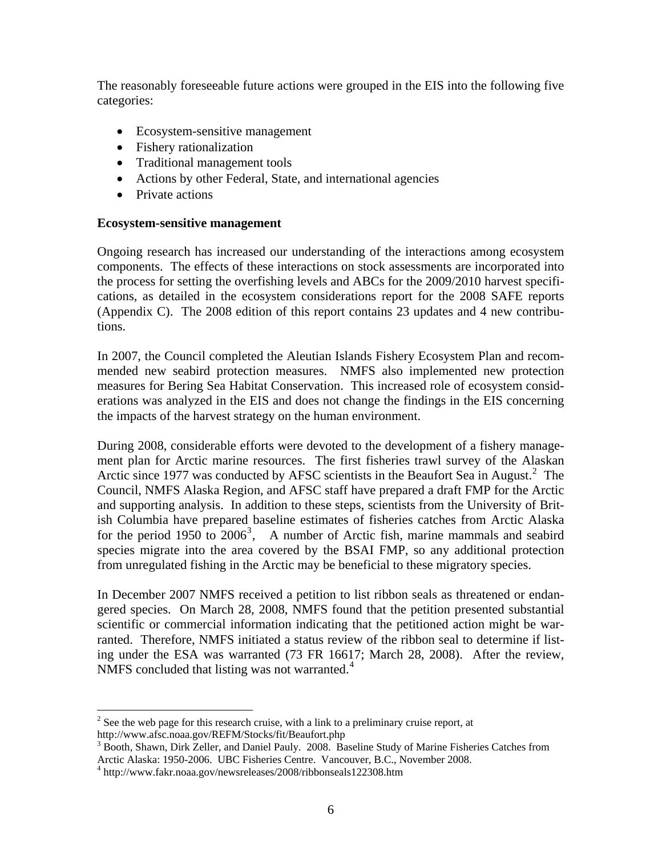The reasonably foreseeable future actions were grouped in the EIS into the following five categories:

- Ecosystem-sensitive management
- Fishery rationalization
- Traditional management tools
- Actions by other Federal, State, and international agencies
- Private actions

#### **Ecosystem-sensitive management**

Ongoing research has increased our understanding of the interactions among ecosystem components. The effects of these interactions on stock assessments are incorporated into the process for setting the overfishing levels and ABCs for the 2009/2010 harvest specifications, as detailed in the ecosystem considerations report for the 2008 SAFE reports (Appendix C). The 2008 edition of this report contains 23 updates and 4 new contributions.

In 2007, the Council completed the Aleutian Islands Fishery Ecosystem Plan and recommended new seabird protection measures. NMFS also implemented new protection measures for Bering Sea Habitat Conservation. This increased role of ecosystem considerations was analyzed in the EIS and does not change the findings in the EIS concerning the impacts of the harvest strategy on the human environment.

During 2008, considerable efforts were devoted to the development of a fishery management plan for Arctic marine resources. The first fisheries trawl survey of the Alaskan Arctic since 1977 was conducted by AFSC scientists in the Beaufort Sea in August. $2$  The Council, NMFS Alaska Region, and AFSC staff have prepared a draft FMP for the Arctic and supporting analysis. In addition to these steps, scientists from the University of British Columbia have prepared baseline estimates of fisheries catches from Arctic Alaska for the period 1950 to  $2006^3$  $2006^3$ , A number of Arctic fish, marine mammals and seabird species migrate into the area covered by the BSAI FMP, so any additional protection from unregulated fishing in the Arctic may be beneficial to these migratory species.

In December 2007 NMFS received a petition to list ribbon seals as threatened or endangered species. On March 28, 2008, NMFS found that the petition presented substantial scientific or commercial information indicating that the petitioned action might be warranted. Therefore, NMFS initiated a status review of the ribbon seal to determine if listing under the ESA was warranted (73 FR 16617; March 28, 2008). After the review, NMFS concluded that listing was not warranted.<sup>[4](#page-5-2)</sup>

 $\overline{a}$ 

<span id="page-5-0"></span> $2^{2}$  See the web page for this research cruise, with a link to a preliminary cruise report, at http://www.afsc.noaa.gov/REFM/Stocks/fit/Beaufort.php 3

<span id="page-5-1"></span><sup>&</sup>lt;sup>3</sup> Booth, Shawn, Dirk Zeller, and Daniel Pauly. 2008. Baseline Study of Marine Fisheries Catches from Arctic Alaska: 1950-2006. UBC Fisheries Centre. Vancouver, B.C., November 2008.

<span id="page-5-2"></span><sup>4</sup> http://www.fakr.noaa.gov/newsreleases/2008/ribbonseals122308.htm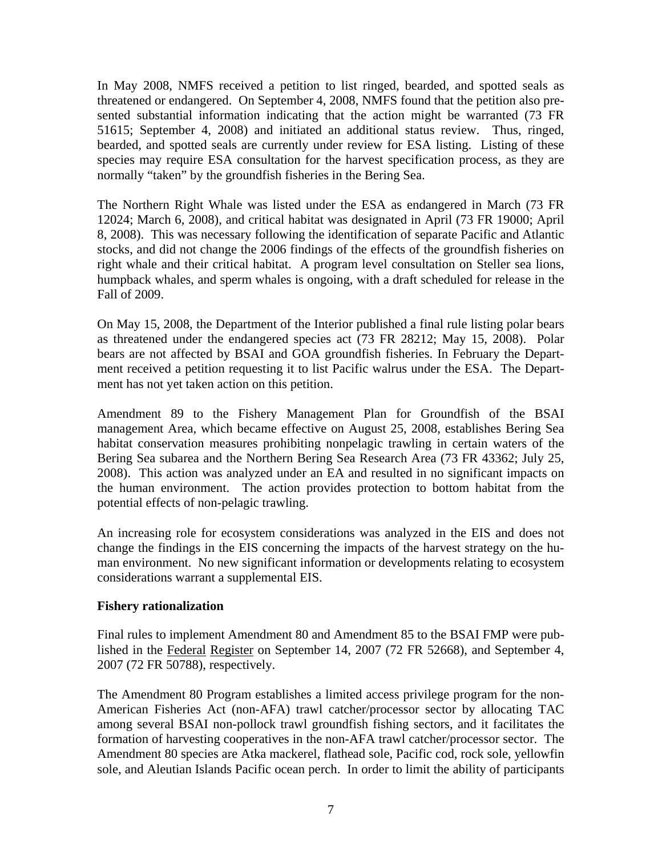In May 2008, NMFS received a petition to list ringed, bearded, and spotted seals as threatened or endangered. On September 4, 2008, NMFS found that the petition also presented substantial information indicating that the action might be warranted (73 FR 51615; September 4, 2008) and initiated an additional status review. Thus, ringed, bearded, and spotted seals are currently under review for ESA listing. Listing of these species may require ESA consultation for the harvest specification process, as they are normally "taken" by the groundfish fisheries in the Bering Sea.

The Northern Right Whale was listed under the ESA as endangered in March (73 FR 12024; March 6, 2008), and critical habitat was designated in April (73 FR 19000; April 8, 2008). This was necessary following the identification of separate Pacific and Atlantic stocks, and did not change the 2006 findings of the effects of the groundfish fisheries on right whale and their critical habitat. A program level consultation on Steller sea lions, humpback whales, and sperm whales is ongoing, with a draft scheduled for release in the Fall of 2009.

On May 15, 2008, the Department of the Interior published a final rule listing polar bears as threatened under the endangered species act (73 FR 28212; May 15, 2008). Polar bears are not affected by BSAI and GOA groundfish fisheries. In February the Department received a petition requesting it to list Pacific walrus under the ESA. The Department has not yet taken action on this petition.

Amendment 89 to the Fishery Management Plan for Groundfish of the BSAI management Area, which became effective on August 25, 2008, establishes Bering Sea habitat conservation measures prohibiting nonpelagic trawling in certain waters of the Bering Sea subarea and the Northern Bering Sea Research Area (73 FR 43362; July 25, 2008). This action was analyzed under an EA and resulted in no significant impacts on the human environment. The action provides protection to bottom habitat from the potential effects of non-pelagic trawling.

An increasing role for ecosystem considerations was analyzed in the EIS and does not change the findings in the EIS concerning the impacts of the harvest strategy on the human environment. No new significant information or developments relating to ecosystem considerations warrant a supplemental EIS.

#### **Fishery rationalization**

Final rules to implement Amendment 80 and Amendment 85 to the BSAI FMP were published in the Federal Register on September 14, 2007 (72 FR 52668), and September 4, 2007 (72 FR 50788), respectively.

The Amendment 80 Program establishes a limited access privilege program for the non-American Fisheries Act (non-AFA) trawl catcher/processor sector by allocating TAC among several BSAI non-pollock trawl groundfish fishing sectors, and it facilitates the formation of harvesting cooperatives in the non-AFA trawl catcher/processor sector. The Amendment 80 species are Atka mackerel, flathead sole, Pacific cod, rock sole, yellowfin sole, and Aleutian Islands Pacific ocean perch. In order to limit the ability of participants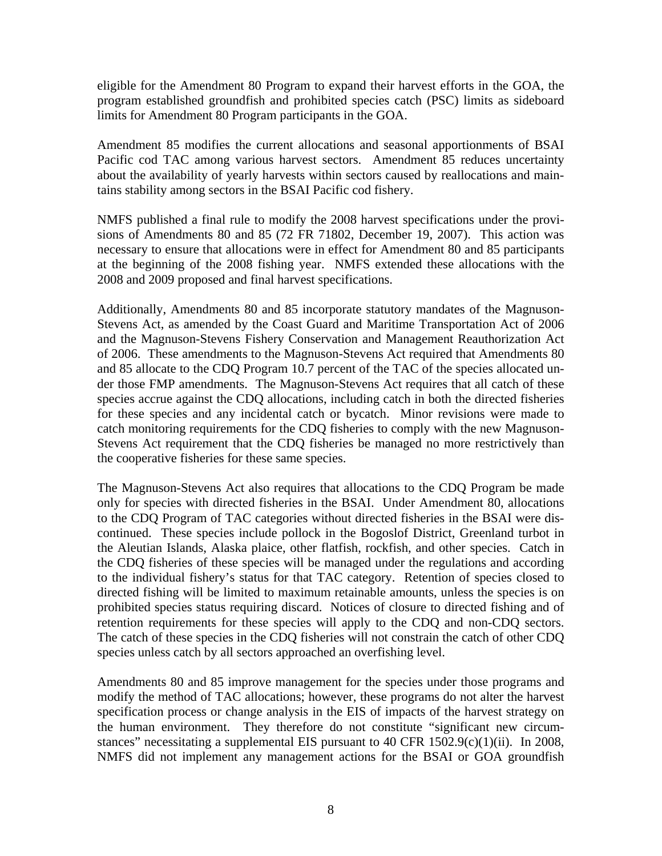eligible for the Amendment 80 Program to expand their harvest efforts in the GOA, the program established groundfish and prohibited species catch (PSC) limits as sideboard limits for Amendment 80 Program participants in the GOA.

Amendment 85 modifies the current allocations and seasonal apportionments of BSAI Pacific cod TAC among various harvest sectors. Amendment 85 reduces uncertainty about the availability of yearly harvests within sectors caused by reallocations and maintains stability among sectors in the BSAI Pacific cod fishery.

NMFS published a final rule to modify the 2008 harvest specifications under the provisions of Amendments 80 and 85 (72 FR 71802, December 19, 2007). This action was necessary to ensure that allocations were in effect for Amendment 80 and 85 participants at the beginning of the 2008 fishing year. NMFS extended these allocations with the 2008 and 2009 proposed and final harvest specifications.

Additionally, Amendments 80 and 85 incorporate statutory mandates of the Magnuson-Stevens Act, as amended by the Coast Guard and Maritime Transportation Act of 2006 and the Magnuson-Stevens Fishery Conservation and Management Reauthorization Act of 2006. These amendments to the Magnuson-Stevens Act required that Amendments 80 and 85 allocate to the CDQ Program 10.7 percent of the TAC of the species allocated under those FMP amendments. The Magnuson-Stevens Act requires that all catch of these species accrue against the CDQ allocations, including catch in both the directed fisheries for these species and any incidental catch or bycatch. Minor revisions were made to catch monitoring requirements for the CDQ fisheries to comply with the new Magnuson-Stevens Act requirement that the CDQ fisheries be managed no more restrictively than the cooperative fisheries for these same species.

The Magnuson-Stevens Act also requires that allocations to the CDQ Program be made only for species with directed fisheries in the BSAI. Under Amendment 80, allocations to the CDQ Program of TAC categories without directed fisheries in the BSAI were discontinued. These species include pollock in the Bogoslof District, Greenland turbot in the Aleutian Islands, Alaska plaice, other flatfish, rockfish, and other species. Catch in the CDQ fisheries of these species will be managed under the regulations and according to the individual fishery's status for that TAC category. Retention of species closed to directed fishing will be limited to maximum retainable amounts, unless the species is on prohibited species status requiring discard. Notices of closure to directed fishing and of retention requirements for these species will apply to the CDQ and non-CDQ sectors. The catch of these species in the CDQ fisheries will not constrain the catch of other CDQ species unless catch by all sectors approached an overfishing level.

Amendments 80 and 85 improve management for the species under those programs and modify the method of TAC allocations; however, these programs do not alter the harvest specification process or change analysis in the EIS of impacts of the harvest strategy on the human environment. They therefore do not constitute "significant new circumstances" necessitating a supplemental EIS pursuant to 40 CFR 1502.9(c)(1)(ii). In 2008, NMFS did not implement any management actions for the BSAI or GOA groundfish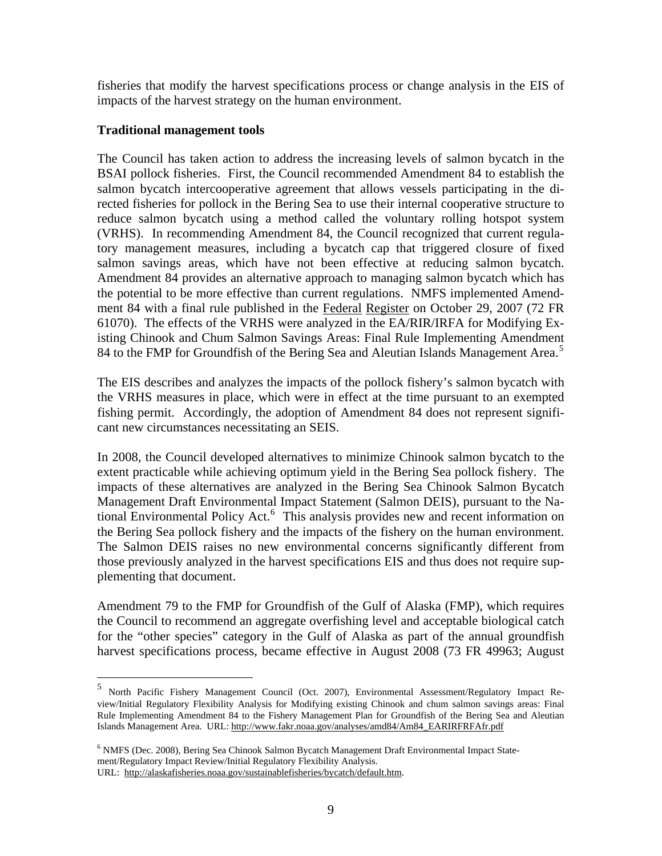fisheries that modify the harvest specifications process or change analysis in the EIS of impacts of the harvest strategy on the human environment.

#### **Traditional management tools**

The Council has taken action to address the increasing levels of salmon bycatch in the BSAI pollock fisheries. First, the Council recommended Amendment 84 to establish the salmon bycatch intercooperative agreement that allows vessels participating in the directed fisheries for pollock in the Bering Sea to use their internal cooperative structure to reduce salmon bycatch using a method called the voluntary rolling hotspot system (VRHS). In recommending Amendment 84, the Council recognized that current regulatory management measures, including a bycatch cap that triggered closure of fixed salmon savings areas, which have not been effective at reducing salmon bycatch. Amendment 84 provides an alternative approach to managing salmon bycatch which has the potential to be more effective than current regulations. NMFS implemented Amendment 84 with a final rule published in the Federal Register on October 29, 2007 (72 FR 61070). The effects of the VRHS were analyzed in the EA/RIR/IRFA for Modifying Existing Chinook and Chum Salmon Savings Areas: Final Rule Implementing Amendment 84 to the FMP for Groundfish of the Bering Sea and Aleutian Islands Management Area.<sup>[5](#page-8-0)</sup>

The EIS describes and analyzes the impacts of the pollock fishery's salmon bycatch with the VRHS measures in place, which were in effect at the time pursuant to an exempted fishing permit. Accordingly, the adoption of Amendment 84 does not represent significant new circumstances necessitating an SEIS.

In 2008, the Council developed alternatives to minimize Chinook salmon bycatch to the extent practicable while achieving optimum yield in the Bering Sea pollock fishery. The impacts of these alternatives are analyzed in the Bering Sea Chinook Salmon Bycatch Management Draft Environmental Impact Statement (Salmon DEIS), pursuant to the Na-tional Environmental Policy Act.<sup>[6](#page-8-1)</sup> This analysis provides new and recent information on the Bering Sea pollock fishery and the impacts of the fishery on the human environment. The Salmon DEIS raises no new environmental concerns significantly different from those previously analyzed in the harvest specifications EIS and thus does not require supplementing that document.

Amendment 79 to the FMP for Groundfish of the Gulf of Alaska (FMP), which requires the Council to recommend an aggregate overfishing level and acceptable biological catch for the "other species" category in the Gulf of Alaska as part of the annual groundfish harvest specifications process, became effective in August 2008 (73 FR 49963; August

 $\overline{a}$ 

<span id="page-8-0"></span><sup>5</sup> North Pacific Fishery Management Council (Oct. 2007), Environmental Assessment/Regulatory Impact Review/Initial Regulatory Flexibility Analysis for Modifying existing Chinook and chum salmon savings areas: Final Rule Implementing Amendment 84 to the Fishery Management Plan for Groundfish of the Bering Sea and Aleutian Islands Management Area. URL: http://www.fakr.noaa.gov/analyses/amd84/Am84\_EARIRFRFAfr.pdf

<span id="page-8-1"></span><sup>&</sup>lt;sup>6</sup> NMFS (Dec. 2008), Bering Sea Chinook Salmon Bycatch Management Draft Environmental Impact Statement/Regulatory Impact Review/Initial Regulatory Flexibility Analysis.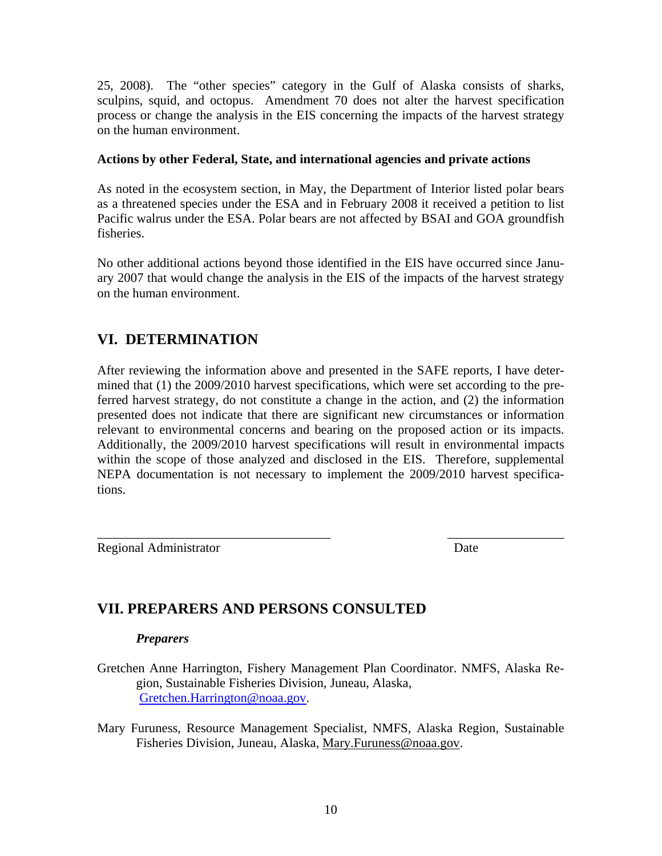25, 2008). The "other species" category in the Gulf of Alaska consists of sharks, sculpins, squid, and octopus. Amendment 70 does not alter the harvest specification process or change the analysis in the EIS concerning the impacts of the harvest strategy on the human environment.

#### **Actions by other Federal, State, and international agencies and private actions**

As noted in the ecosystem section, in May, the Department of Interior listed polar bears as a threatened species under the ESA and in February 2008 it received a petition to list Pacific walrus under the ESA. Polar bears are not affected by BSAI and GOA groundfish fisheries.

No other additional actions beyond those identified in the EIS have occurred since January 2007 that would change the analysis in the EIS of the impacts of the harvest strategy on the human environment.

### **VI. DETERMINATION**

After reviewing the information above and presented in the SAFE reports, I have determined that (1) the 2009/2010 harvest specifications, which were set according to the preferred harvest strategy, do not constitute a change in the action, and (2) the information presented does not indicate that there are significant new circumstances or information relevant to environmental concerns and bearing on the proposed action or its impacts. Additionally, the 2009/2010 harvest specifications will result in environmental impacts within the scope of those analyzed and disclosed in the EIS. Therefore, supplemental NEPA documentation is not necessary to implement the 2009/2010 harvest specifications.

Regional Administrator Date

\_\_\_\_\_\_\_\_\_\_\_\_\_\_\_\_\_\_\_\_\_\_\_\_\_\_\_\_\_\_\_\_\_\_\_\_ \_\_\_\_\_\_\_\_\_\_\_\_\_\_\_\_\_\_

## **VII. PREPARERS AND PERSONS CONSULTED**

#### *Preparers*

- [Gretchen.Harrington@noaa.gov](mailto:Gretchen.Harrington@noaa.gov). Gretchen Anne Harrington, Fishery Management Plan Coordinator. NMFS, Alaska Region, Sustainable Fisheries Division, Juneau, Alaska,
- Fisheries Division, Juneau, Alaska, Mary. Furuness@noaa.gov. Mary Furuness, Resource Management Specialist, NMFS, Alaska Region, Sustainable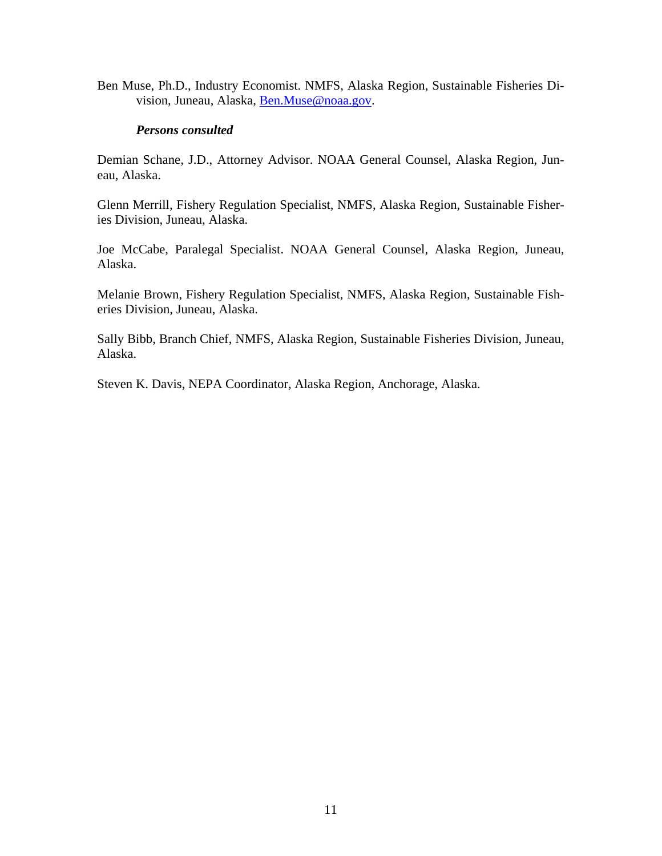Ben Muse, Ph.D., Industry Economist. NMFS, Alaska Region, Sustainable Fisheries Division, Juneau, Alaska, Ben.Muse@noaa.gov.

#### *Persons consulted*

Demian Schane, J.D., Attorney Advisor. NOAA General Counsel, Alaska Region, Juneau, Alaska.

Glenn Merrill, Fishery Regulation Specialist, NMFS, Alaska Region, Sustainable Fisheries Division, Juneau, Alaska.

Joe McCabe, Paralegal Specialist. NOAA General Counsel, Alaska Region, Juneau, Alaska.

Melanie Brown, Fishery Regulation Specialist, NMFS, Alaska Region, Sustainable Fisheries Division, Juneau, Alaska.

Sally Bibb, Branch Chief, NMFS, Alaska Region, Sustainable Fisheries Division, Juneau, Alaska.

Steven K. Davis, NEPA Coordinator, Alaska Region, Anchorage, Alaska.